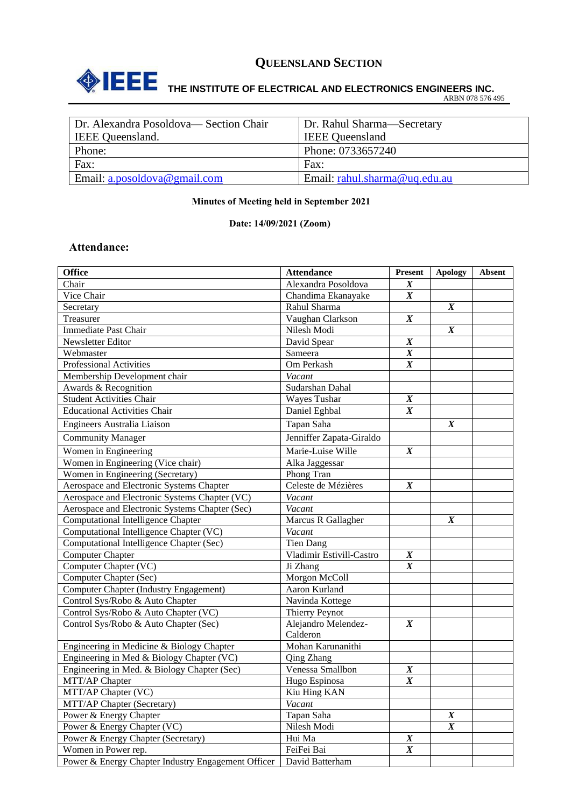

# **THE INSTITUTE OF ELECTRICAL AND ELECTRONICS ENGINEERS INC.**

ARBN 078 576 495

| Dr. Alexandra Posoldova— Section Chair | Dr. Rahul Sharma—Secretary    |
|----------------------------------------|-------------------------------|
| <b>IEEE</b> Queensland.                | <b>IEEE</b> Queensland        |
| Phone:                                 | Phone: 0733657240             |
| Fax:                                   | Fax:                          |
| Email: $a. posoldova@gmail.com$        | Email: rahul.sharma@uq.edu.au |

#### **Minutes of Meeting held in September 2021**

#### **Date: 14/09/2021 (Zoom)**

#### **Attendance:**

| <b>Office</b>                                      | <b>Attendance</b>        | <b>Present</b>   | <b>Apology</b>   | Absent |
|----------------------------------------------------|--------------------------|------------------|------------------|--------|
| Chair                                              | Alexandra Posoldova      | $\boldsymbol{X}$ |                  |        |
| Vice Chair                                         | Chandima Ekanayake       | $\boldsymbol{X}$ |                  |        |
| Secretary                                          | Rahul Sharma             |                  | $\boldsymbol{X}$ |        |
| Treasurer                                          | Vaughan Clarkson         | $\boldsymbol{X}$ |                  |        |
| <b>Immediate Past Chair</b>                        | Nilesh Modi              |                  | $\boldsymbol{X}$ |        |
| Newsletter Editor                                  | David Spear              | $\boldsymbol{X}$ |                  |        |
| Webmaster                                          | Sameera                  | $\boldsymbol{X}$ |                  |        |
| <b>Professional Activities</b>                     | Om Perkash               | $\boldsymbol{X}$ |                  |        |
| Membership Development chair                       | Vacant                   |                  |                  |        |
| Awards & Recognition                               | Sudarshan Dahal          |                  |                  |        |
| <b>Student Activities Chair</b>                    | Wayes Tushar             | $\boldsymbol{X}$ |                  |        |
| <b>Educational Activities Chair</b>                | Daniel Eghbal            | $\boldsymbol{X}$ |                  |        |
| Engineers Australia Liaison                        | Tapan Saha               |                  | $\boldsymbol{X}$ |        |
| <b>Community Manager</b>                           | Jenniffer Zapata-Giraldo |                  |                  |        |
| Women in Engineering                               | Marie-Luise Wille        | $\boldsymbol{X}$ |                  |        |
| Women in Engineering (Vice chair)                  | Alka Jaggessar           |                  |                  |        |
| Women in Engineering (Secretary)                   | Phong Tran               |                  |                  |        |
| Aerospace and Electronic Systems Chapter           | Celeste de Mézières      | $\boldsymbol{X}$ |                  |        |
| Aerospace and Electronic Systems Chapter (VC)      | Vacant                   |                  |                  |        |
| Aerospace and Electronic Systems Chapter (Sec)     | Vacant                   |                  |                  |        |
| <b>Computational Intelligence Chapter</b>          | Marcus R Gallagher       |                  | $\boldsymbol{X}$ |        |
| Computational Intelligence Chapter (VC)            | Vacant                   |                  |                  |        |
| Computational Intelligence Chapter (Sec)           | <b>Tien Dang</b>         |                  |                  |        |
| <b>Computer Chapter</b>                            | Vladimir Estivill-Castro | $\boldsymbol{X}$ |                  |        |
| Computer Chapter (VC)                              | Ji Zhang                 | $\boldsymbol{X}$ |                  |        |
| Computer Chapter (Sec)                             | Morgon McColl            |                  |                  |        |
| <b>Computer Chapter (Industry Engagement)</b>      | Aaron Kurland            |                  |                  |        |
| Control Sys/Robo & Auto Chapter                    | Navinda Kottege          |                  |                  |        |
| Control Sys/Robo & Auto Chapter (VC)               | Thierry Peynot           |                  |                  |        |
| Control Sys/Robo & Auto Chapter (Sec)              | Alejandro Melendez-      | $\boldsymbol{X}$ |                  |        |
|                                                    | Calderon                 |                  |                  |        |
| Engineering in Medicine & Biology Chapter          | Mohan Karunanithi        |                  |                  |        |
| Engineering in Med & Biology Chapter (VC)          | Qing Zhang               |                  |                  |        |
| Engineering in Med. & Biology Chapter (Sec)        | Venessa Smallbon         | $\boldsymbol{X}$ |                  |        |
| MTT/AP Chapter                                     | Hugo Espinosa            | $\boldsymbol{X}$ |                  |        |
| MTT/AP Chapter (VC)                                | Kiu Hing KAN             |                  |                  |        |
| MTT/AP Chapter (Secretary)                         | Vacant                   |                  |                  |        |
| Power & Energy Chapter                             | Tapan Saha               |                  | $\boldsymbol{X}$ |        |
| Power & Energy Chapter (VC)                        | Nilesh Modi              |                  | $\boldsymbol{X}$ |        |
| Power & Energy Chapter (Secretary)                 | Hui Ma                   | $\boldsymbol{X}$ |                  |        |
| Women in Power rep.                                | FeiFei Bai               | $\boldsymbol{X}$ |                  |        |
| Power & Energy Chapter Industry Engagement Officer | David Batterham          |                  |                  |        |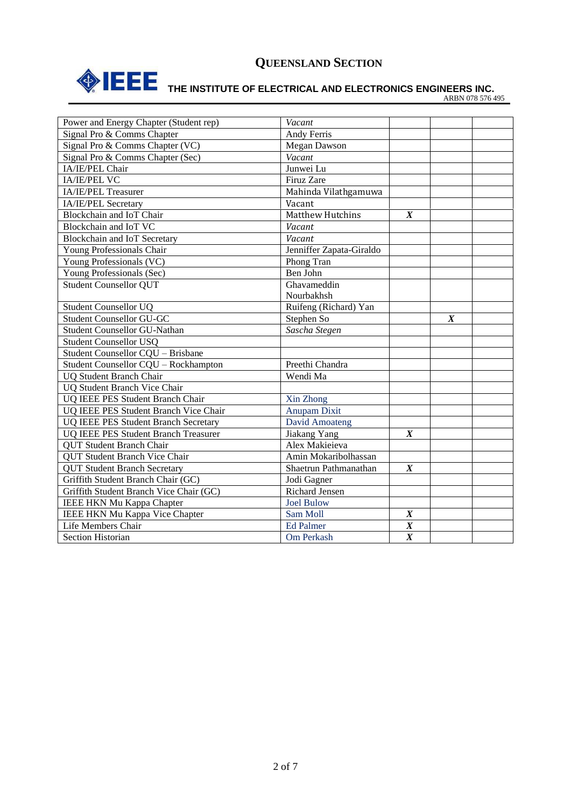

# **THE INSTITUTE OF ELECTRICAL AND ELECTRONICS ENGINEERS INC.**

ARBN 078 576 495

| Power and Energy Chapter (Student rep)      | Vacant                   |                  |                  |  |
|---------------------------------------------|--------------------------|------------------|------------------|--|
| Signal Pro & Comms Chapter                  | <b>Andy Ferris</b>       |                  |                  |  |
| Signal Pro & Comms Chapter (VC)             | Megan Dawson             |                  |                  |  |
| Signal Pro & Comms Chapter (Sec)            | Vacant                   |                  |                  |  |
| IA/IE/PEL Chair                             | Junwei Lu                |                  |                  |  |
| <b>IA/IE/PEL VC</b>                         | Firuz Zare               |                  |                  |  |
| IA/IE/PEL Treasurer                         | Mahinda Vilathgamuwa     |                  |                  |  |
| IA/IE/PEL Secretary                         | Vacant                   |                  |                  |  |
| Blockchain and IoT Chair                    | Matthew Hutchins         | $\boldsymbol{X}$ |                  |  |
| Blockchain and IoT VC                       | Vacant                   |                  |                  |  |
| Blockchain and IoT Secretary                | Vacant                   |                  |                  |  |
| Young Professionals Chair                   | Jenniffer Zapata-Giraldo |                  |                  |  |
| Young Professionals (VC)                    | Phong Tran               |                  |                  |  |
| Young Professionals (Sec)                   | Ben John                 |                  |                  |  |
| <b>Student Counsellor QUT</b>               | Ghavameddin              |                  |                  |  |
|                                             | Nourbakhsh               |                  |                  |  |
| <b>Student Counsellor UQ</b>                | Ruifeng (Richard) Yan    |                  |                  |  |
| <b>Student Counsellor GU-GC</b>             | Stephen So               |                  | $\boldsymbol{X}$ |  |
| <b>Student Counsellor GU-Nathan</b>         | Sascha Stegen            |                  |                  |  |
| <b>Student Counsellor USQ</b>               |                          |                  |                  |  |
| Student Counsellor CQU - Brisbane           |                          |                  |                  |  |
| Student Counsellor CQU - Rockhampton        | Preethi Chandra          |                  |                  |  |
| <b>UQ Student Branch Chair</b>              | Wendi Ma                 |                  |                  |  |
| <b>UQ Student Branch Vice Chair</b>         |                          |                  |                  |  |
| UQ IEEE PES Student Branch Chair            | Xin Zhong                |                  |                  |  |
| UQ IEEE PES Student Branch Vice Chair       | <b>Anupam Dixit</b>      |                  |                  |  |
| UQ IEEE PES Student Branch Secretary        | David Amoateng           |                  |                  |  |
| <b>UQ IEEE PES Student Branch Treasurer</b> | Jiakang Yang             | $\boldsymbol{X}$ |                  |  |
| <b>OUT Student Branch Chair</b>             | Alex Makieieva           |                  |                  |  |
| <b>QUT Student Branch Vice Chair</b>        | Amin Mokaribolhassan     |                  |                  |  |
| <b>QUT Student Branch Secretary</b>         | Shaetrun Pathmanathan    | $\boldsymbol{X}$ |                  |  |
| Griffith Student Branch Chair (GC)          | Jodi Gagner              |                  |                  |  |
| Griffith Student Branch Vice Chair (GC)     | <b>Richard Jensen</b>    |                  |                  |  |
| IEEE HKN Mu Kappa Chapter                   | <b>Joel Bulow</b>        |                  |                  |  |
| <b>IEEE HKN Mu Kappa Vice Chapter</b>       | Sam Moll                 | $\boldsymbol{X}$ |                  |  |
| Life Members Chair                          | <b>Ed Palmer</b>         | $\boldsymbol{X}$ |                  |  |
| <b>Section Historian</b>                    | <b>Om Perkash</b>        | $\overline{X}$   |                  |  |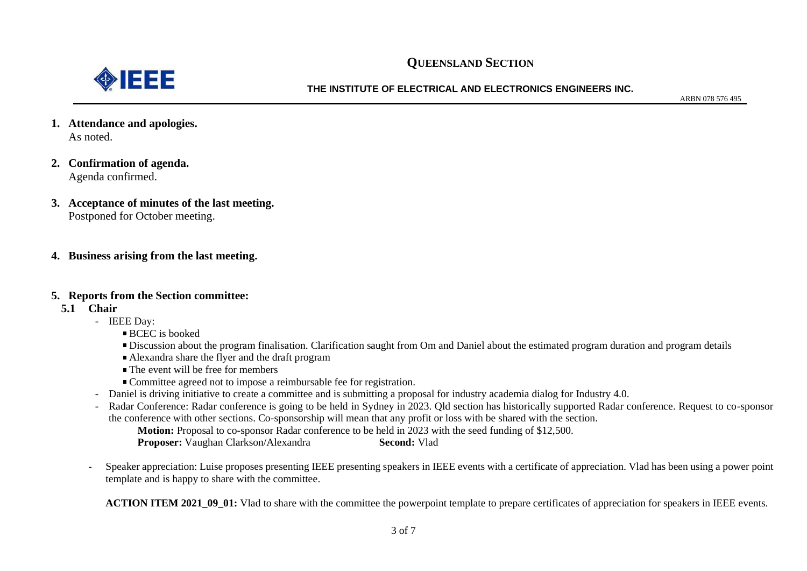

#### **THE INSTITUTE OF ELECTRICAL AND ELECTRONICS ENGINEERS INC.**

ARBN 078 576 495

- **1. Attendance and apologies.** As noted.
- **2. Confirmation of agenda.** Agenda confirmed.
- **3. Acceptance of minutes of the last meeting.**  Postponed for October meeting.
- **4. Business arising from the last meeting.**

#### **5. Reports from the Section committee:**

- **5.1 Chair**
	- IEEE Day:
		- BCEC is booked
		- Discussion about the program finalisation. Clarification saught from Om and Daniel about the estimated program duration and program details
		- Alexandra share the flyer and the draft program
		- The event will be free for members
		- Committee agreed not to impose a reimbursable fee for registration.
	- Daniel is driving initiative to create a committee and is submitting a proposal for industry academia dialog for Industry 4.0.
	- Radar Conference: Radar conference is going to be held in Sydney in 2023. Qld section has historically supported Radar conference. Request to co-sponsor the conference with other sections. Co-sponsorship will mean that any profit or loss with be shared with the section.

**Motion:** Proposal to co-sponsor Radar conference to be held in 2023 with the seed funding of \$12,500.

- **Proposer:** Vaughan Clarkson/Alexandra **Second:** Vlad
- Speaker appreciation: Luise proposes presenting IEEE presenting speakers in IEEE events with a certificate of appreciation. Vlad has been using a power point template and is happy to share with the committee.

**ACTION ITEM 2021\_09\_01:** Vlad to share with the committee the powerpoint template to prepare certificates of appreciation for speakers in IEEE events.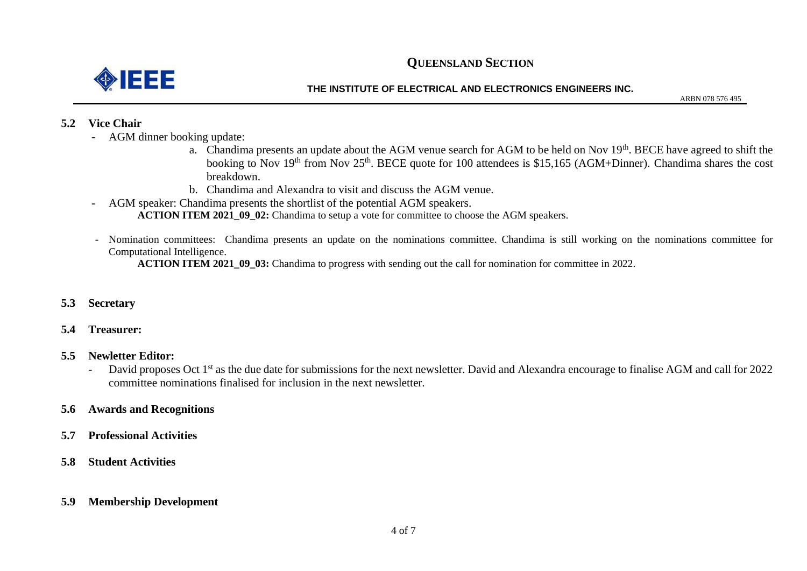

#### **THE INSTITUTE OF ELECTRICAL AND ELECTRONICS ENGINEERS INC.**

ARBN 078 576 495

#### **5.2 Vice Chair**

- AGM dinner booking update:
	- a. Chandima presents an update about the AGM venue search for AGM to be held on Nov 19<sup>th</sup>. BECE have agreed to shift the booking to Nov 19<sup>th</sup> from Nov 25<sup>th</sup>. BECE quote for 100 attendees is \$15,165 (AGM+Dinner). Chandima shares the cost breakdown.
	- b. Chandima and Alexandra to visit and discuss the AGM venue.
- AGM speaker: Chandima presents the shortlist of the potential AGM speakers. **ACTION ITEM 2021\_09\_02:** Chandima to setup a vote for committee to choose the AGM speakers.
- Nomination committees: Chandima presents an update on the nominations committee. Chandima is still working on the nominations committee for Computational Intelligence.

**ACTION ITEM 2021 09 03:** Chandima to progress with sending out the call for nomination for committee in 2022.

#### **5.3 Secretary**

#### **5.4 Treasurer:**

#### **5.5 Newletter Editor:**

- David proposes Oct 1<sup>st</sup> as the due date for submissions for the next newsletter. David and Alexandra encourage to finalise AGM and call for 2022 committee nominations finalised for inclusion in the next newsletter.

#### **5.6 Awards and Recognitions**

- **5.7 Professional Activities**
- **5.8 Student Activities**

#### **5.9 Membership Development**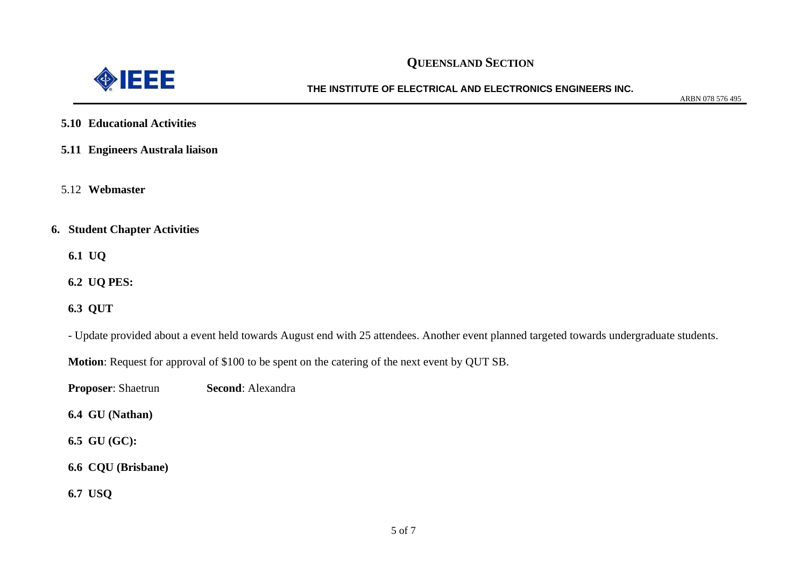

#### **THE INSTITUTE OF ELECTRICAL AND ELECTRONICS ENGINEERS INC.**

ARBN 078 576 495

- **5.10 Educational Activities**
- **5.11 Engineers Australa liaison**
- 5.12 **Webmaster**
- **6. Student Chapter Activities**
	- **6.1 UQ**
	- **6.2 UQ PES:**
	- **6.3 QUT**

- Update provided about a event held towards August end with 25 attendees. Another event planned targeted towards undergraduate students.

**Motion**: Request for approval of \$100 to be spent on the catering of the next event by QUT SB.

- **Proposer**: Shaetrun **Second**: Alexandra
- **6.4 GU (Nathan)**
- **6.5 GU (GC):**
- **6.6 CQU (Brisbane)**
- **6.7 USQ**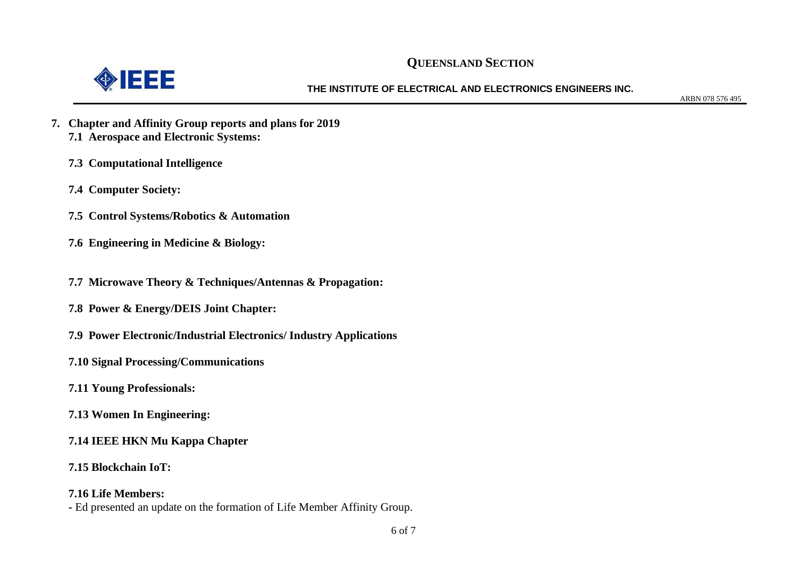

#### **THE INSTITUTE OF ELECTRICAL AND ELECTRONICS ENGINEERS INC.**

ARBN 078 576 495

- **7. Chapter and Affinity Group reports and plans for 2019 7.1 Aerospace and Electronic Systems:** 
	- **7.3 Computational Intelligence**
	- **7.4 Computer Society:**
	- **7.5 Control Systems/Robotics & Automation**
	- **7.6 Engineering in Medicine & Biology:**
	- **7.7 Microwave Theory & Techniques/Antennas & Propagation:**
	- **7.8 Power & Energy/DEIS Joint Chapter:**
	- **7.9 Power Electronic/Industrial Electronics/ Industry Applications**
	- **7.10 Signal Processing/Communications**
	- **7.11 Young Professionals:**
	- **7.13 Women In Engineering:**
	- **7.14 IEEE HKN Mu Kappa Chapter**
	- **7.15 Blockchain IoT:**
	- **7.16 Life Members:**
	- **-** Ed presented an update on the formation of Life Member Affinity Group.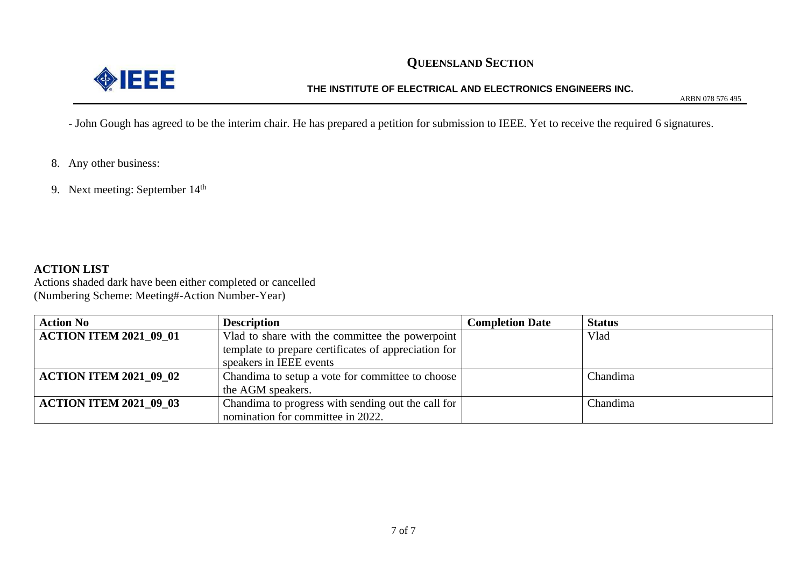

#### **THE INSTITUTE OF ELECTRICAL AND ELECTRONICS ENGINEERS INC.**

ARBN 078 576 495

- John Gough has agreed to be the interim chair. He has prepared a petition for submission to IEEE. Yet to receive the required 6 signatures.

- 8. Any other business:
- 9. Next meeting: September 14<sup>th</sup>

#### **ACTION LIST**

Actions shaded dark have been either completed or cancelled (Numbering Scheme: Meeting#-Action Number-Year)

| <b>Action No</b>              | <b>Description</b>                                   | <b>Completion Date</b> | <b>Status</b> |
|-------------------------------|------------------------------------------------------|------------------------|---------------|
| <b>ACTION ITEM 2021 09 01</b> | Vlad to share with the committee the powerpoint      |                        | Vlad          |
|                               | template to prepare certificates of appreciation for |                        |               |
|                               | speakers in IEEE events                              |                        |               |
| ACTION ITEM 2021_09_02        | Chandima to setup a vote for committee to choose     |                        | Chandima      |
|                               | the AGM speakers.                                    |                        |               |
| <b>ACTION ITEM 2021 09 03</b> | Chandima to progress with sending out the call for   |                        | Chandima      |
|                               | nomination for committee in 2022.                    |                        |               |